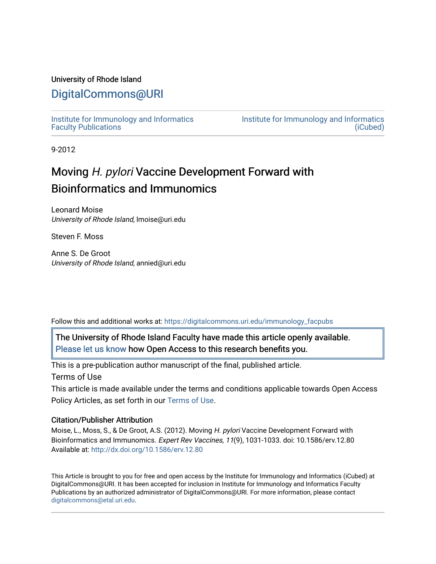# University of Rhode Island

# [DigitalCommons@URI](https://digitalcommons.uri.edu/)

[Institute for Immunology and Informatics](https://digitalcommons.uri.edu/immunology_facpubs) [Faculty Publications](https://digitalcommons.uri.edu/immunology_facpubs)

[Institute for Immunology and Informatics](https://digitalcommons.uri.edu/immunology)  [\(iCubed\)](https://digitalcommons.uri.edu/immunology) 

9-2012

# Moving H. pylori Vaccine Development Forward with Bioinformatics and Immunomics

Leonard Moise University of Rhode Island, lmoise@uri.edu

Steven F. Moss

Anne S. De Groot University of Rhode Island, annied@uri.edu

Follow this and additional works at: [https://digitalcommons.uri.edu/immunology\\_facpubs](https://digitalcommons.uri.edu/immunology_facpubs?utm_source=digitalcommons.uri.edu%2Fimmunology_facpubs%2F5&utm_medium=PDF&utm_campaign=PDFCoverPages)

The University of Rhode Island Faculty have made this article openly available. [Please let us know](http://web.uri.edu/library-digital-initiatives/open-access-online-form/) how Open Access to this research benefits you.

This is a pre-publication author manuscript of the final, published article. Terms of Use

This article is made available under the terms and conditions applicable towards Open Access Policy Articles, as set forth in our [Terms of Use](https://digitalcommons.uri.edu/immunology_facpubs/oa_policy_terms.html).

## Citation/Publisher Attribution

Moise, L., Moss, S., & De Groot, A.S. (2012). Moving H. pylori Vaccine Development Forward with Bioinformatics and Immunomics. Expert Rev Vaccines, 11(9), 1031-1033. doi: 10.1586/erv.12.80 Available at:<http://dx.doi.org/10.1586/erv.12.80>

This Article is brought to you for free and open access by the Institute for Immunology and Informatics (iCubed) at DigitalCommons@URI. It has been accepted for inclusion in Institute for Immunology and Informatics Faculty Publications by an authorized administrator of DigitalCommons@URI. For more information, please contact [digitalcommons@etal.uri.edu](mailto:digitalcommons@etal.uri.edu).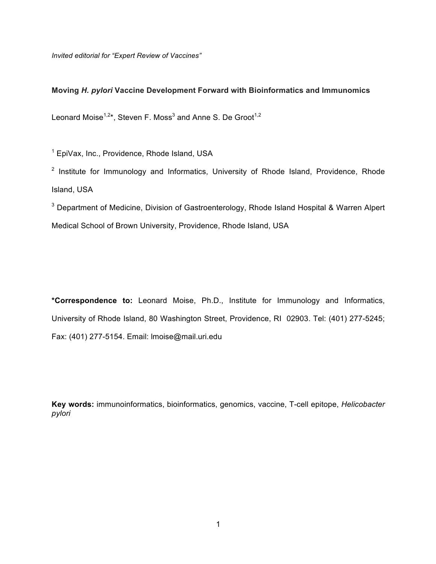*Invited editorial for "Expert Review of Vaccines"*

# **Moving** *H. pylori* **Vaccine Development Forward with Bioinformatics and Immunomics**

Leonard Moise<sup>1,2\*</sup>, Steven F. Moss<sup>3</sup> and Anne S. De Groot<sup>1,2</sup>

<sup>1</sup> EpiVax, Inc., Providence, Rhode Island, USA

<sup>2</sup> Institute for Immunology and Informatics, University of Rhode Island, Providence, Rhode Island, USA

<sup>3</sup> Department of Medicine, Division of Gastroenterology, Rhode Island Hospital & Warren Alpert Medical School of Brown University, Providence, Rhode Island, USA

**\*Correspondence to:** Leonard Moise, Ph.D., Institute for Immunology and Informatics, University of Rhode Island, 80 Washington Street, Providence, RI 02903. Tel: (401) 277-5245; Fax: (401) 277-5154. Email: lmoise@mail.uri.edu

**Key words:** immunoinformatics, bioinformatics, genomics, vaccine, T-cell epitope, *Helicobacter pylori*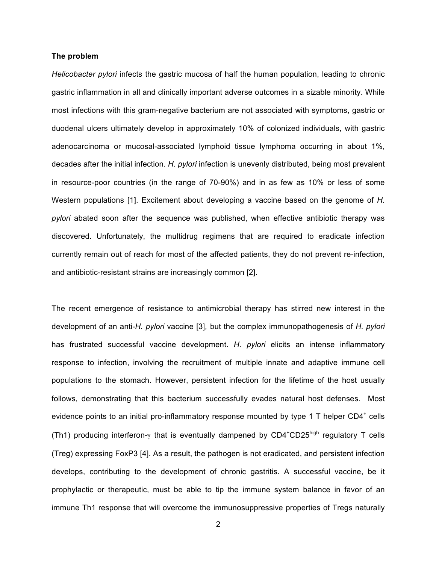#### **The problem**

*Helicobacter pylori* infects the gastric mucosa of half the human population, leading to chronic gastric inflammation in all and clinically important adverse outcomes in a sizable minority. While most infections with this gram-negative bacterium are not associated with symptoms, gastric or duodenal ulcers ultimately develop in approximately 10% of colonized individuals, with gastric adenocarcinoma or mucosal-associated lymphoid tissue lymphoma occurring in about 1%, decades after the initial infection. *H. pylori* infection is unevenly distributed, being most prevalent in resource-poor countries (in the range of 70-90%) and in as few as 10% or less of some Western populations [1]. Excitement about developing a vaccine based on the genome of *H. pylori* abated soon after the sequence was published, when effective antibiotic therapy was discovered. Unfortunately, the multidrug regimens that are required to eradicate infection currently remain out of reach for most of the affected patients, they do not prevent re-infection, and antibiotic-resistant strains are increasingly common [2].

The recent emergence of resistance to antimicrobial therapy has stirred new interest in the development of an anti-*H. pylori* vaccine [3]*,* but the complex immunopathogenesis of *H. pylori* has frustrated successful vaccine development. *H. pylori* elicits an intense inflammatory response to infection, involving the recruitment of multiple innate and adaptive immune cell populations to the stomach. However, persistent infection for the lifetime of the host usually follows, demonstrating that this bacterium successfully evades natural host defenses. Most evidence points to an initial pro-inflammatory response mounted by type 1 T helper  $CD4^+$  cells (Th1) producing interferon-γ that is eventually dampened by CD4<sup>+</sup>CD25<sup>high</sup> regulatory T cells (Treg) expressing FoxP3 [4]. As a result, the pathogen is not eradicated, and persistent infection develops, contributing to the development of chronic gastritis. A successful vaccine, be it prophylactic or therapeutic, must be able to tip the immune system balance in favor of an immune Th1 response that will overcome the immunosuppressive properties of Tregs naturally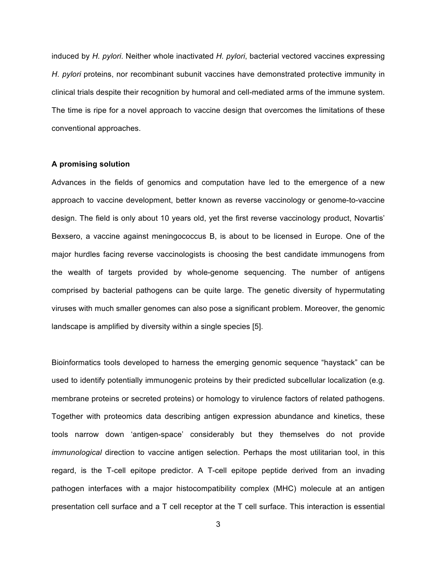induced by *H. pylori*. Neither whole inactivated *H. pylori*, bacterial vectored vaccines expressing *H. pylori* proteins, nor recombinant subunit vaccines have demonstrated protective immunity in clinical trials despite their recognition by humoral and cell-mediated arms of the immune system. The time is ripe for a novel approach to vaccine design that overcomes the limitations of these conventional approaches.

# **A promising solution**

Advances in the fields of genomics and computation have led to the emergence of a new approach to vaccine development, better known as reverse vaccinology or genome-to-vaccine design. The field is only about 10 years old, yet the first reverse vaccinology product, Novartis' Bexsero, a vaccine against meningococcus B, is about to be licensed in Europe. One of the major hurdles facing reverse vaccinologists is choosing the best candidate immunogens from the wealth of targets provided by whole-genome sequencing. The number of antigens comprised by bacterial pathogens can be quite large. The genetic diversity of hypermutating viruses with much smaller genomes can also pose a significant problem. Moreover, the genomic landscape is amplified by diversity within a single species [5].

Bioinformatics tools developed to harness the emerging genomic sequence "haystack" can be used to identify potentially immunogenic proteins by their predicted subcellular localization (e.g. membrane proteins or secreted proteins) or homology to virulence factors of related pathogens. Together with proteomics data describing antigen expression abundance and kinetics, these tools narrow down 'antigen-space' considerably but they themselves do not provide *immunological* direction to vaccine antigen selection. Perhaps the most utilitarian tool, in this regard, is the T-cell epitope predictor. A T-cell epitope peptide derived from an invading pathogen interfaces with a major histocompatibility complex (MHC) molecule at an antigen presentation cell surface and a T cell receptor at the T cell surface. This interaction is essential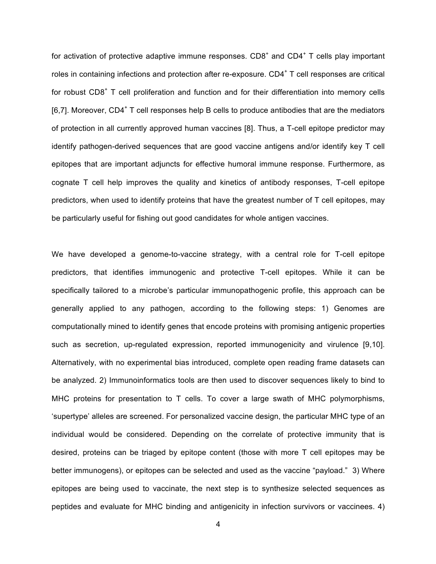for activation of protective adaptive immune responses.  $CDB<sup>+</sup>$  and  $CD4<sup>+</sup>$  T cells play important roles in containing infections and protection after re-exposure.  $CD4<sup>+</sup>$  T cell responses are critical for robust CD8<sup>+</sup> T cell proliferation and function and for their differentiation into memory cells  $[6,7]$ . Moreover, CD4<sup>+</sup> T cell responses help B cells to produce antibodies that are the mediators of protection in all currently approved human vaccines [8]. Thus, a T-cell epitope predictor may identify pathogen-derived sequences that are good vaccine antigens and/or identify key T cell epitopes that are important adjuncts for effective humoral immune response. Furthermore, as cognate T cell help improves the quality and kinetics of antibody responses, T-cell epitope predictors, when used to identify proteins that have the greatest number of T cell epitopes, may be particularly useful for fishing out good candidates for whole antigen vaccines.

We have developed a genome-to-vaccine strategy, with a central role for T-cell epitope predictors, that identifies immunogenic and protective T-cell epitopes. While it can be specifically tailored to a microbe's particular immunopathogenic profile, this approach can be generally applied to any pathogen, according to the following steps: 1) Genomes are computationally mined to identify genes that encode proteins with promising antigenic properties such as secretion, up-regulated expression, reported immunogenicity and virulence [9,10]. Alternatively, with no experimental bias introduced, complete open reading frame datasets can be analyzed. 2) Immunoinformatics tools are then used to discover sequences likely to bind to MHC proteins for presentation to T cells. To cover a large swath of MHC polymorphisms, 'supertype' alleles are screened. For personalized vaccine design, the particular MHC type of an individual would be considered. Depending on the correlate of protective immunity that is desired, proteins can be triaged by epitope content (those with more T cell epitopes may be better immunogens), or epitopes can be selected and used as the vaccine "payload." 3) Where epitopes are being used to vaccinate, the next step is to synthesize selected sequences as peptides and evaluate for MHC binding and antigenicity in infection survivors or vaccinees. 4)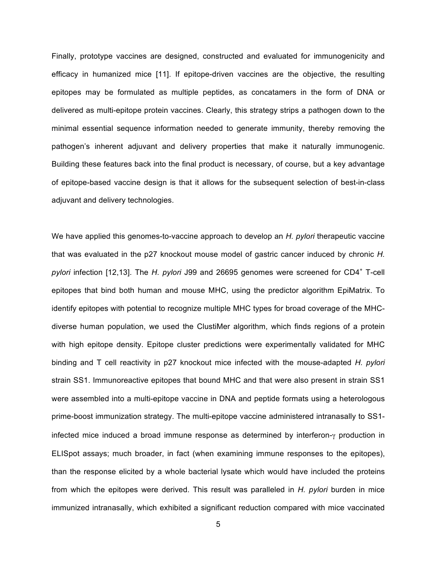Finally, prototype vaccines are designed, constructed and evaluated for immunogenicity and efficacy in humanized mice [11]. If epitope-driven vaccines are the objective, the resulting epitopes may be formulated as multiple peptides, as concatamers in the form of DNA or delivered as multi-epitope protein vaccines. Clearly, this strategy strips a pathogen down to the minimal essential sequence information needed to generate immunity, thereby removing the pathogen's inherent adjuvant and delivery properties that make it naturally immunogenic. Building these features back into the final product is necessary, of course, but a key advantage of epitope-based vaccine design is that it allows for the subsequent selection of best-in-class adjuvant and delivery technologies.

We have applied this genomes-to-vaccine approach to develop an *H. pylori* therapeutic vaccine that was evaluated in the p27 knockout mouse model of gastric cancer induced by chronic *H. pylori* infection [12,13]. The *H. pylori* J99 and 26695 genomes were screened for CD4<sup>+</sup> T-cell epitopes that bind both human and mouse MHC, using the predictor algorithm EpiMatrix. To identify epitopes with potential to recognize multiple MHC types for broad coverage of the MHCdiverse human population, we used the ClustiMer algorithm, which finds regions of a protein with high epitope density. Epitope cluster predictions were experimentally validated for MHC binding and T cell reactivity in p27 knockout mice infected with the mouse-adapted *H. pylori* strain SS1. Immunoreactive epitopes that bound MHC and that were also present in strain SS1 were assembled into a multi-epitope vaccine in DNA and peptide formats using a heterologous prime-boost immunization strategy. The multi-epitope vaccine administered intranasally to SS1 infected mice induced a broad immune response as determined by interferon-γ production in ELISpot assays; much broader, in fact (when examining immune responses to the epitopes), than the response elicited by a whole bacterial lysate which would have included the proteins from which the epitopes were derived. This result was paralleled in *H. pylori* burden in mice immunized intranasally, which exhibited a significant reduction compared with mice vaccinated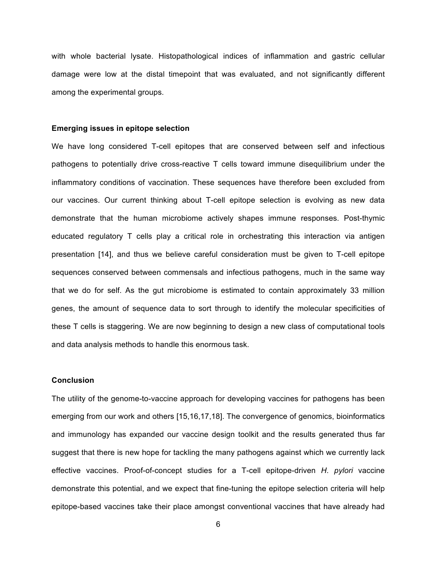with whole bacterial lysate. Histopathological indices of inflammation and gastric cellular damage were low at the distal timepoint that was evaluated, and not significantly different among the experimental groups.

#### **Emerging issues in epitope selection**

We have long considered T-cell epitopes that are conserved between self and infectious pathogens to potentially drive cross-reactive T cells toward immune disequilibrium under the inflammatory conditions of vaccination. These sequences have therefore been excluded from our vaccines. Our current thinking about T-cell epitope selection is evolving as new data demonstrate that the human microbiome actively shapes immune responses. Post-thymic educated regulatory T cells play a critical role in orchestrating this interaction via antigen presentation [14], and thus we believe careful consideration must be given to T-cell epitope sequences conserved between commensals and infectious pathogens, much in the same way that we do for self. As the gut microbiome is estimated to contain approximately 33 million genes, the amount of sequence data to sort through to identify the molecular specificities of these T cells is staggering. We are now beginning to design a new class of computational tools and data analysis methods to handle this enormous task.

### **Conclusion**

The utility of the genome-to-vaccine approach for developing vaccines for pathogens has been emerging from our work and others [15,16,17,18]. The convergence of genomics, bioinformatics and immunology has expanded our vaccine design toolkit and the results generated thus far suggest that there is new hope for tackling the many pathogens against which we currently lack effective vaccines. Proof-of-concept studies for a T-cell epitope-driven *H. pylori* vaccine demonstrate this potential, and we expect that fine-tuning the epitope selection criteria will help epitope-based vaccines take their place amongst conventional vaccines that have already had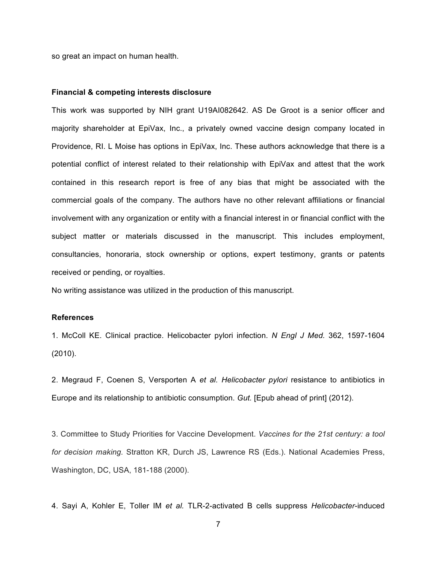so great an impact on human health.

#### **Financial & competing interests disclosure**

This work was supported by NIH grant U19AI082642. AS De Groot is a senior officer and majority shareholder at EpiVax, Inc., a privately owned vaccine design company located in Providence, RI. L Moise has options in EpiVax, Inc. These authors acknowledge that there is a potential conflict of interest related to their relationship with EpiVax and attest that the work contained in this research report is free of any bias that might be associated with the commercial goals of the company. The authors have no other relevant affiliations or financial involvement with any organization or entity with a financial interest in or financial conflict with the subject matter or materials discussed in the manuscript. This includes employment, consultancies, honoraria, stock ownership or options, expert testimony, grants or patents received or pending, or royalties.

No writing assistance was utilized in the production of this manuscript.

### **References**

1. McColl KE. Clinical practice. Helicobacter pylori infection. *N Engl J Med.* 362, 1597-1604 (2010).

2. Megraud F, Coenen S, Versporten A *et al. Helicobacter pylori* resistance to antibiotics in Europe and its relationship to antibiotic consumption. *Gut.* [Epub ahead of print] (2012).

3. Committee to Study Priorities for Vaccine Development. *Vaccines for the 21st century: a tool for decision making.* Stratton KR, Durch JS, Lawrence RS (Eds.). National Academies Press, Washington, DC, USA, 181-188 (2000).

4. Sayi A, Kohler E, Toller IM *et al.* TLR-2-activated B cells suppress *Helicobacter*-induced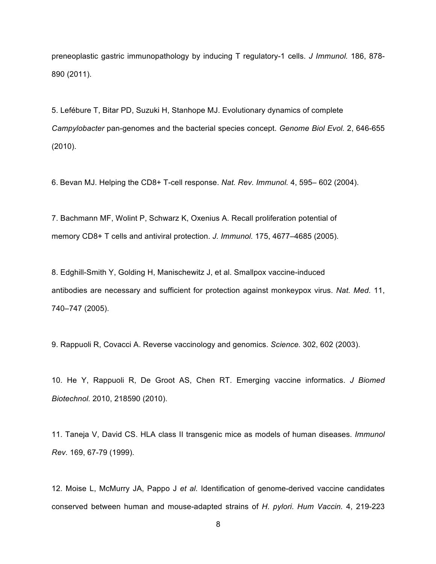preneoplastic gastric immunopathology by inducing T regulatory-1 cells. *J Immunol.* 186, 878- 890 (2011).

5. Lefébure T, Bitar PD, Suzuki H, Stanhope MJ. Evolutionary dynamics of complete *Campylobacter* pan-genomes and the bacterial species concept. *Genome Biol Evol.* 2, 646-655 (2010).

6. Bevan MJ. Helping the CD8+ T-cell response. *Nat. Rev. Immunol.* 4, 595– 602 (2004).

7. Bachmann MF, Wolint P, Schwarz K, Oxenius A. Recall proliferation potential of memory CD8+ T cells and antiviral protection. *J. Immunol.* 175, 4677–4685 (2005).

8. Edghill-Smith Y, Golding H, Manischewitz J, et al. Smallpox vaccine-induced antibodies are necessary and sufficient for protection against monkeypox virus. *Nat. Med.* 11, 740–747 (2005).

9. Rappuoli R, Covacci A. Reverse vaccinology and genomics. *Science.* 302, 602 (2003).

10. He Y, Rappuoli R, De Groot AS, Chen RT. Emerging vaccine informatics. *J Biomed Biotechnol.* 2010, 218590 (2010).

11. Taneja V, David CS. HLA class II transgenic mice as models of human diseases. *Immunol Rev.* 169, 67-79 (1999).

12. Moise L, McMurry JA, Pappo J *et al.* Identification of genome-derived vaccine candidates conserved between human and mouse-adapted strains of *H. pylori*. *Hum Vaccin.* 4, 219-223